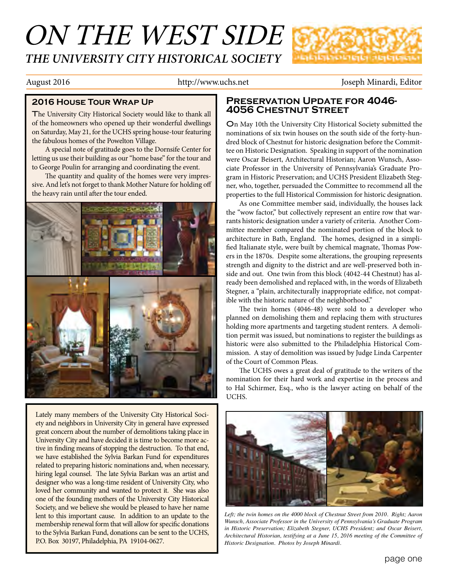## ON THE WEST SIDE *THE UNIVERSITY CITY HISTORICAL SOCIETY*



August 2016 **http://www.uchs.net** Joseph Minardi, Editor

The University City Historical Society would like to thank all of the homeowners who opened up their wonderful dwellings on Saturday, May 21, for the UCHS spring house-tour featuring the fabulous homes of the Powelton Village.

A special note of gratitude goes to the Dornsife Center for letting us use their building as our "home base" for the tour and to George Poulin for arranging and coordinating the event.

The quantity and quality of the homes were very impressive. And let's not forget to thank Mother Nature for holding off the heavy rain until after the tour ended.



Lately many members of the University City Historical Society and neighbors in University City in general have expressed great concern about the number of demolitions taking place in University City and have decided it is time to become more active in finding means of stopping the destruction. To that end, we have established the Sylvia Barkan Fund for expenditures related to preparing historic nominations and, when necessary, hiring legal counsel. The late Sylvia Barkan was an artist and designer who was a long-time resident of University City, who loved her community and wanted to protect it. She was also one of the founding mothers of the University City Historical Society, and we believe she would be pleased to have her name lent to this important cause. In addition to an update to the membership renewal form that will allow for specific donations to the Sylvia Barkan Fund, donations can be sent to the UCHS, P.O. Box 30197, Philadelphia, PA 19104-0627.

### **2016 House Tour Wrap Up Preservation Update for 4046- 4056 Chestnut Street**

On May 10th the University City Historical Society submitted the nominations of six twin houses on the south side of the forty-hundred block of Chestnut for historic designation before the Committee on Historic Designation. Speaking in support of the nomination were Oscar Beisert, Architectural Historian; Aaron Wunsch, Associate Professor in the University of Pennsylvania's Graduate Program in Historic Preservation; and UCHS President Elizabeth Stegner, who, together, persuaded the Committee to recommend all the properties to the full Historical Commission for historic designation.

As one Committee member said, individually, the houses lack the "wow factor," but collectively represent an entire row that warrants historic designation under a variety of criteria. Another Committee member compared the nominated portion of the block to architecture in Bath, England. The homes, designed in a simplified Italianate style, were built by chemical magnate, Thomas Powers in the 1870s. Despite some alterations, the grouping represents strength and dignity to the district and are well-preserved both inside and out. One twin from this block (4042-44 Chestnut) has already been demolished and replaced with, in the words of Elizabeth Stegner, a "plain, architecturally inappropriate edifice, not compatible with the historic nature of the neighborhood."

The twin homes (4046-48) were sold to a developer who planned on demolishing them and replacing them with structures holding more apartments and targeting student renters. A demolition permit was issued, but nominations to register the buildings as historic were also submitted to the Philadelphia Historical Commission. A stay of demolition was issued by Judge Linda Carpenter of the Court of Common Pleas.

The UCHS owes a great deal of gratitude to the writers of the nomination for their hard work and expertise in the process and to Hal Schirmer, Esq., who is the lawyer acting on behalf of the UCHS.



*Left; the twin homes on the 4000 block of Chestnut Street from 2010. Right; Aaron Wunsch, Associate Professor in the University of Pennsylvania's Graduate Program in Historic Preservation; Elizabeth Stegner, UCHS President; and Oscar Beisert, Architectural Historian, testifying at a June 15, 2016 meeting of the Committee of Historic Designation. Photos by Joseph Minardi.*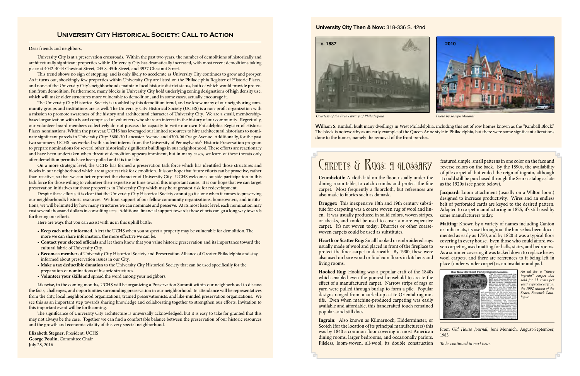

*Courtesy of the Free Library of Philadelphia Photo by Joseph Minardi.*

William S. Kimball built many dwellings in West Philadelphia, including this set of row homes known as the "Kimball Block." The block is noteworthy as an early example of the Queen Anne style in Philadelphia, but there were some significant alterations done to the homes, namely the removal of the front porches.

# C**ARPETS & RUGS: A GLOSSARY**

### **University City Then & Now:** 318-336 S. 42nd

### **University City Historical Society: Call to Action**

**Crumbcloth:** A cloth laid on the floor, usually under the dining room table, to catch crumbs and protect the fine carpet. Most frequently a floorcloth, but references are also made to fabrics such as damask.

**Drugget:** This inexpensive 18th and 19th century substitute for carpeting was a coarse woven rug of wool and linen. It was usually produced in solid colors, woven stripes, or checks, and could be used to cover a more expensive woven carpets could be used as substitutes.

**Hooked Rug:** Hooking was a popular craft of the 1840s which enabled even the poorest household to create the effect of a manufactured carpet. Narrow strips of rags or yarn were pulled through burlap to form a pile. Popular designs ranged from a curled-up cat to Oriental rug motifs. Even when machine-produced carpeting was easily available and affordable, this handcrafted touch remained popular...and still does.

**Ingrain:** Also known as Kilmarnock, Kidderminster, or Scotch (for the location of its principal manufacturers) this was by 1840 a common floor covering in most American dining rooms, larger bedrooms, and occasionally parlors. Pileless, loom-woven, all-wool, its double construction

carpet. It's not woven today; Dhurries or other coarse-**Hearth or Scatter Rug:** Small hooked or embroidered rugs usually made of wool and placed in front of the fireplace to protect the finer carpet underneath. By 1900, these were also used on bare wood or linoleum floors in kitchens and living rooms. **Matting:** Known by a variety of names including Canton or India mats, its use throughout the house has been documented as early as 1750, and by 1820 it was a typical floor covering in every house. Even those who could afford woven carpeting used matting for halls, stairs, and bedrooms. As a summer covering it was tacked down to replace heavy wool carpets, and there are references to it being left in place (under winder carpet) as an insulator and pad.

featured simple, small patterns in one color on the face and reverse colors on the back. By the 1890s, the availability of pile carpet all but ended the reign of ingrain, although it could still be purchased through the Sears catalog as late as the 1920s (see photo below).

**Jacquard:** Loom attachment (usually on a Wilton loom) designed to increase productivity. Wires and an endless belt of perforated cards are keyed to the desired pattern. Adapted to carpet manufacturing in 1825, it's still used by some manufacturers today.



From *Old House Journal*, Joni Monnich, August-September, 1983.

*To be continued in next issue.*

*An ad for a "fancy ingrain" carpet that sold for 35 cents per yard, reproduced from the 1902 edition of the Sears, Roebuck Catalogue.*

#### Dear friends and neighbors,

University City is at a preservation crossroads. Within the past two years, the number of demolitions of historically and architecturally significant properties within University City has dramatically increased, with most recent demolitions taking place at 4042-4044 Chestnut Street, 245 S. 45th Street, and 3937 Chestnut Street.

This trend shows no sign of stopping, and is only likely to accelerate as University City continues to grow and prosper. As it turns out, shockingly few properties within University City are listed on the Philadelphia Register of Historic Places, and none of the University City's neighborhoods maintain local historic district status, both of which would provide protection from demolition. Furthermore, many blocks in University City hold underlying zoning designations of high density use, which will make older structures more vulnerable to demolition, and in some cases, actually encourage it.

The University City Historical Society is troubled by this demolition trend, and we know many of our neighboring community groups and institutions are as well. The University City Historical Society (UCHS) is a non-profit organization with a mission to promote awareness of the history and architectural character of University City. We are a small, membershipbased organization with a board comprised of volunteers who share an interest in the history of our community. Regretfully, our volunteer board members collectively do not possess the capacity to write our own Philadelphia Register of Historic Places nominations. Within the past year, UCHS has leveraged our limited resources to hire architectural historians to nominate significant parcels in University City: 3600-30 Lancaster Avenue and 4300-06 Osage Avenue. Additionally, for the past two summers, UCHS has worked with student interns from the University of Pennsylvania's Historic Preservation program to prepare nominations for several other historically significant buildings in our neighborhood. These efforts are reactionary and have been undertaken when threat of demolition appears imminent, but in many cases, we learn of these threats only after demolition permits have been pulled and it is too late.

On a more strategic level, the UCHS has formed a preservation task force which has identified those structures and blocks in our neighborhood which are at greatest risk for demolition. It is our hope that future efforts can be proactive, rather than reactive, so that we can better protect the character of University City. UCHS welcomes outside participation in this task force for those willing to volunteer their expertise or time toward this important cause. It is our hope that we can target preservation initiatives for those properties in University City which may be at greatest risk for redevelopment.

Despite these efforts, it is clear that the University City Historical Society cannot go it alone when it comes to preserving our neighborhood's historic resources. Without support of our fellow community organizations, homeowners, and institutions, we will be limited by how many structures we can nominate and preserve. At its most basic level, each nomination may cost several thousand dollars in consulting fees. Additional financial support towards these efforts can go a long way towards furthering our efforts.

Here are ways that you can assist with us in this uphill battle:

- **Keep each other informed**. Alert the UCHS when you suspect a property may be vulnerable for demolition. The more we can share information, the more effective we can be.
- **Contact your elected officials** and let them know that you value historic preservation and its importance toward the cultural fabric of University City.
- **Become a member** of University City Historical Society and Preservation Alliance of Greater Philadelphia and stay informed about preservation issues in our City.
- **Make a tax deductible donation** to the University City Historical Society that can be used specifically for the preparation of nominations of historic structures.
- **Volunteer your skills** and spread the word among your neighbors.

Likewise, in the coming months, UCHS will be organizing a Preservation Summit within our neighborhood to discuss the facts, challenges, and opportunities surrounding preservation in our neighborhood. In attendance will be representatives from the City, local neighborhood organizations, trained preservationists, and like-minded preservation organizations. We see this as an important step towards sharing knowledge and collaborating together to strengthen our efforts. Invitation to this important event will be forthcoming.

The significance of University City architecture is universally acknowledged, but it is easy to take for granted that this may not always be the case. Together we can find a comfortable balance between the preservation of our historic resources and the growth and economic vitality of this very special neighborhood.

**Elizabeth Stegner**, President, UCHS **George Poulin**, Committee Chair July 28, 2016